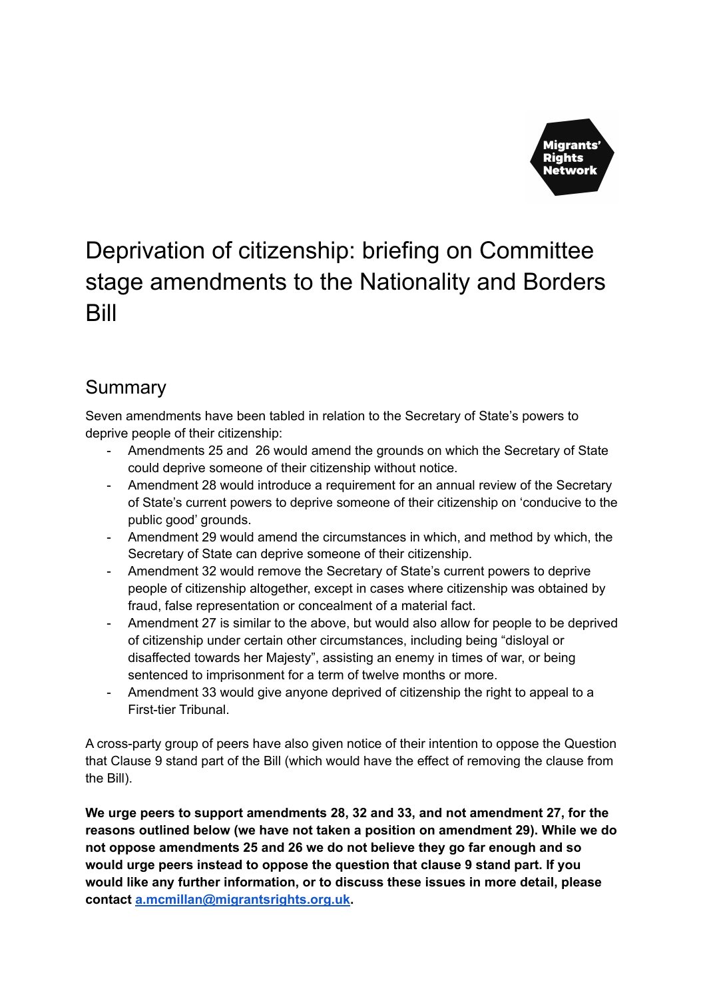

# Deprivation of citizenship: briefing on Committee stage amendments to the Nationality and Borders Bill

# Summary

Seven amendments have been tabled in relation to the Secretary of State's powers to deprive people of their citizenship:

- Amendments 25 and 26 would amend the grounds on which the Secretary of State could deprive someone of their citizenship without notice.
- Amendment 28 would introduce a requirement for an annual review of the Secretary of State's current powers to deprive someone of their citizenship on 'conducive to the public good' grounds.
- Amendment 29 would amend the circumstances in which, and method by which, the Secretary of State can deprive someone of their citizenship.
- Amendment 32 would remove the Secretary of State's current powers to deprive people of citizenship altogether, except in cases where citizenship was obtained by fraud, false representation or concealment of a material fact.
- Amendment 27 is similar to the above, but would also allow for people to be deprived of citizenship under certain other circumstances, including being "disloyal or disaffected towards her Majesty", assisting an enemy in times of war, or being sentenced to imprisonment for a term of twelve months or more.
- Amendment 33 would give anyone deprived of citizenship the right to appeal to a First-tier Tribunal.

A cross-party group of peers have also given notice of their intention to oppose the Question that Clause 9 stand part of the Bill (which would have the effect of removing the clause from the Bill).

**We urge peers to support amendments 28, 32 and 33, and not amendment 27, for the reasons outlined below (we have not taken a position on amendment 29). While we do not oppose amendments 25 and 26 we do not believe they go far enough and so would urge peers instead to oppose the question that clause 9 stand part. If you would like any further information, or to discuss these issues in more detail, please contact [a.mcmillan@migrantsrights.org.uk](mailto:a.mcmillan@migrantsrights.org.uk).**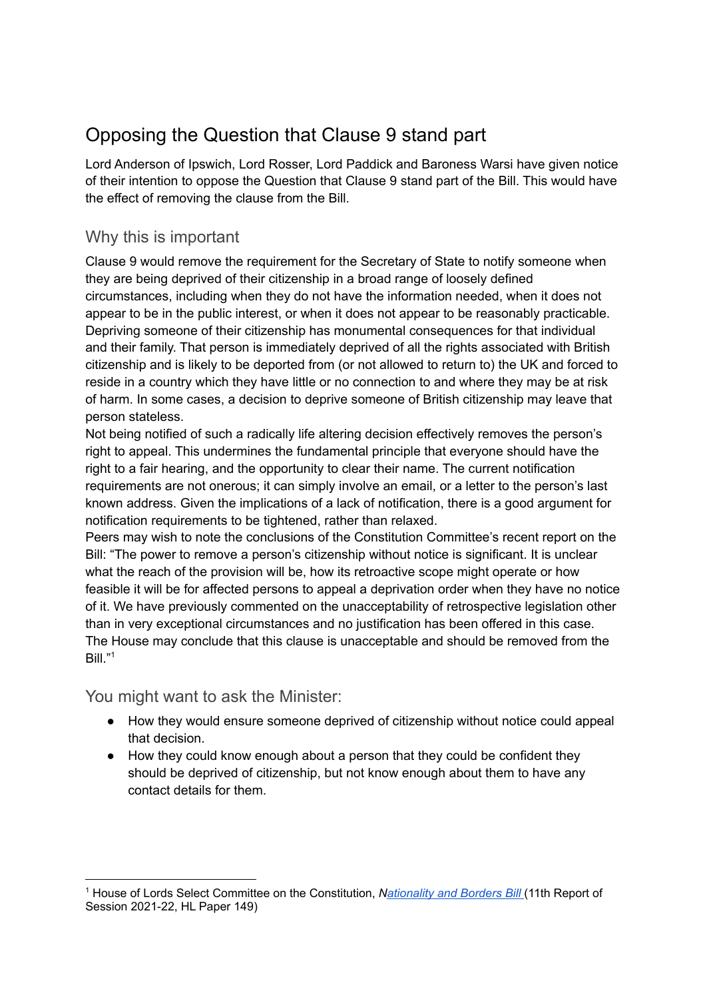# Opposing the Question that Clause 9 stand part

Lord Anderson of Ipswich, Lord Rosser, Lord Paddick and Baroness Warsi have given notice of their intention to oppose the Question that Clause 9 stand part of the Bill. This would have the effect of removing the clause from the Bill.

### Why this is important

Clause 9 would remove the requirement for the Secretary of State to notify someone when they are being deprived of their citizenship in a broad range of loosely defined circumstances, including when they do not have the information needed, when it does not appear to be in the public interest, or when it does not appear to be reasonably practicable. Depriving someone of their citizenship has monumental consequences for that individual and their family. That person is immediately deprived of all the rights associated with British citizenship and is likely to be deported from (or not allowed to return to) the UK and forced to reside in a country which they have little or no connection to and where they may be at risk of harm. In some cases, a decision to deprive someone of British citizenship may leave that person stateless.

Not being notified of such a radically life altering decision effectively removes the person's right to appeal. This undermines the fundamental principle that everyone should have the right to a fair hearing, and the opportunity to clear their name. The current notification requirements are not onerous; it can simply involve an email, or a letter to the person's last known address. Given the implications of a lack of notification, there is a good argument for notification requirements to be tightened, rather than relaxed.

Peers may wish to note the conclusions of the Constitution Committee's recent report on the Bill: "The power to remove a person's citizenship without notice is significant. It is unclear what the reach of the provision will be, how its retroactive scope might operate or how feasible it will be for affected persons to appeal a deprivation order when they have no notice of it. We have previously commented on the unacceptability of retrospective legislation other than in very exceptional circumstances and no justification has been offered in this case. The House may conclude that this clause is unacceptable and should be removed from the Bill." 1

You might want to ask the Minister:

- How they would ensure someone deprived of citizenship without notice could appeal that decision.
- How they could know enough about a person that they could be confident they should be deprived of citizenship, but not know enough about them to have any contact details for them.

<sup>1</sup> House of Lords Select Committee on the Constitution, *[Nationality](https://committees.parliament.uk/publications/8606/documents/86994/default/) and Borders Bill* (11th Report of Session 2021-22, HL Paper 149)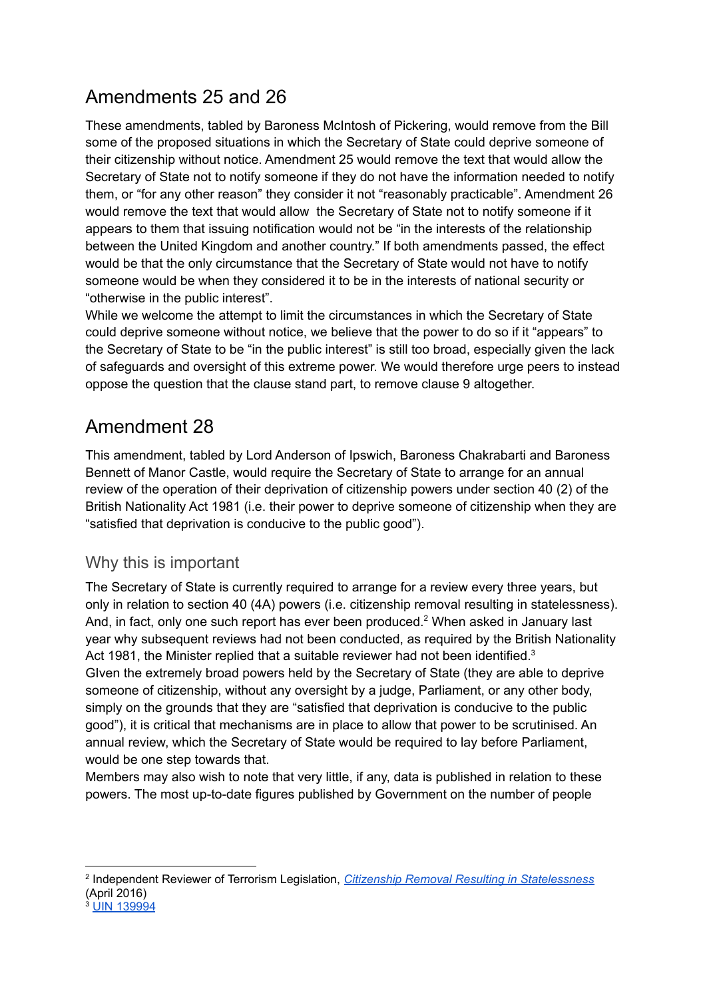## Amendments 25 and 26

These amendments, tabled by Baroness McIntosh of Pickering, would remove from the Bill some of the proposed situations in which the Secretary of State could deprive someone of their citizenship without notice. Amendment 25 would remove the text that would allow the Secretary of State not to notify someone if they do not have the information needed to notify them, or "for any other reason" they consider it not "reasonably practicable". Amendment 26 would remove the text that would allow the Secretary of State not to notify someone if it appears to them that issuing notification would not be "in the interests of the relationship between the United Kingdom and another country." If both amendments passed, the effect would be that the only circumstance that the Secretary of State would not have to notify someone would be when they considered it to be in the interests of national security or "otherwise in the public interest".

While we welcome the attempt to limit the circumstances in which the Secretary of State could deprive someone without notice, we believe that the power to do so if it "appears" to the Secretary of State to be "in the public interest" is still too broad, especially given the lack of safeguards and oversight of this extreme power. We would therefore urge peers to instead oppose the question that the clause stand part, to remove clause 9 altogether.

### Amendment 28

This amendment, tabled by Lord Anderson of Ipswich, Baroness Chakrabarti and Baroness Bennett of Manor Castle, would require the Secretary of State to arrange for an annual review of the operation of their deprivation of citizenship powers under section 40 (2) of the British Nationality Act 1981 (i.e. their power to deprive someone of citizenship when they are "satisfied that deprivation is conducive to the public good").

#### Why this is important

The Secretary of State is currently required to arrange for a review every three years, but only in relation to section 40 (4A) powers (i.e. citizenship removal resulting in statelessness). And, in fact, only one such report has ever been produced.<sup>2</sup> When asked in January last year why subsequent reviews had not been conducted, as required by the British Nationality Act 1981, the Minister replied that a suitable reviewer had not been identified.<sup>3</sup> GIven the extremely broad powers held by the Secretary of State (they are able to deprive someone of citizenship, without any oversight by a judge, Parliament, or any other body, simply on the grounds that they are "satisfied that deprivation is conducive to the public good"), it is critical that mechanisms are in place to allow that power to be scrutinised. An annual review, which the Secretary of State would be required to lay before Parliament, would be one step towards that.

Members may also wish to note that very little, if any, data is published in relation to these powers. The most up-to-date figures published by Government on the number of people

<sup>2</sup> Independent Reviewer of Terrorism Legislation, *Citizenship Removal Resulting in [Statelessness](https://assets.publishing.service.gov.uk/government/uploads/system/uploads/attachment_data/file/518120/David_Anderson_QC_-_CITIZENSHIP_REMOVAL__web_.pdf)* (April 2016)

<sup>&</sup>lt;sup>3</sup> UIN [139994](https://questions-statements.parliament.uk/written-questions/detail/2021-01-19/139994/)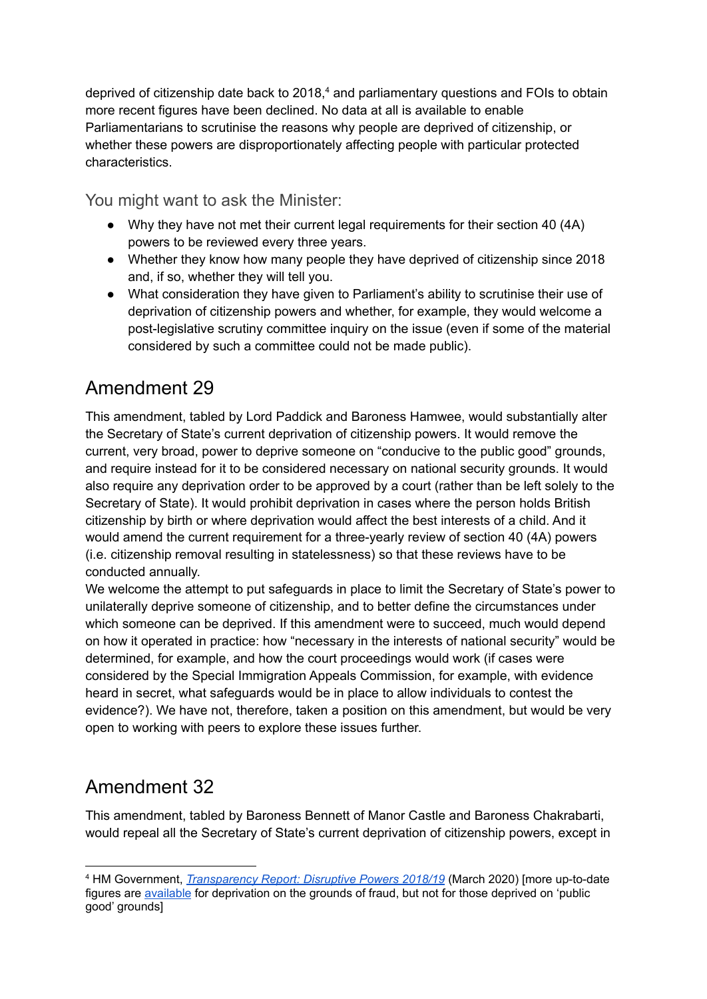deprived of citizenship date back to 2018, <sup>4</sup> and parliamentary questions and FOIs to obtain more recent figures have been declined. No data at all is available to enable Parliamentarians to scrutinise the reasons why people are deprived of citizenship, or whether these powers are disproportionately affecting people with particular protected characteristics.

You might want to ask the Minister:

- Why they have not met their current legal requirements for their section 40 (4A) powers to be reviewed every three years.
- Whether they know how many people they have deprived of citizenship since 2018 and, if so, whether they will tell you.
- What consideration they have given to Parliament's ability to scrutinise their use of deprivation of citizenship powers and whether, for example, they would welcome a post-legislative scrutiny committee inquiry on the issue (even if some of the material considered by such a committee could not be made public).

### Amendment 29

This amendment, tabled by Lord Paddick and Baroness Hamwee, would substantially alter the Secretary of State's current deprivation of citizenship powers. It would remove the current, very broad, power to deprive someone on "conducive to the public good" grounds, and require instead for it to be considered necessary on national security grounds. It would also require any deprivation order to be approved by a court (rather than be left solely to the Secretary of State). It would prohibit deprivation in cases where the person holds British citizenship by birth or where deprivation would affect the best interests of a child. And it would amend the current requirement for a three-yearly review of section 40 (4A) powers (i.e. citizenship removal resulting in statelessness) so that these reviews have to be conducted annually.

We welcome the attempt to put safeguards in place to limit the Secretary of State's power to unilaterally deprive someone of citizenship, and to better define the circumstances under which someone can be deprived. If this amendment were to succeed, much would depend on how it operated in practice: how "necessary in the interests of national security" would be determined, for example, and how the court proceedings would work (if cases were considered by the Special Immigration Appeals Commission, for example, with evidence heard in secret, what safeguards would be in place to allow individuals to contest the evidence?). We have not, therefore, taken a position on this amendment, but would be very open to working with peers to explore these issues further.

# Amendment 32

This amendment, tabled by Baroness Bennett of Manor Castle and Baroness Chakrabarti, would repeal all the Secretary of State's current deprivation of citizenship powers, except in

<sup>4</sup> HM Government, *[Transparency](https://assets.publishing.service.gov.uk/government/uploads/system/uploads/attachment_data/file/919625/CCS0320317274-001_HM_Government_Transparency_Report_Web_Accessible.pdfhttps://assets.publishing.service.gov.uk/government/uploads/system/uploads/attachment_data/file/919625/CCS0320317274-001_HM_Government_Transparency_Report_Web_Accessible.pdf) Report: Disruptive Powers 2018/19* (March 2020) [more up-to-date figures are [available](https://www.gov.uk/government/publications/immigration-protection-data-february-2021) for deprivation on the grounds of fraud, but not for those deprived on 'public good' grounds]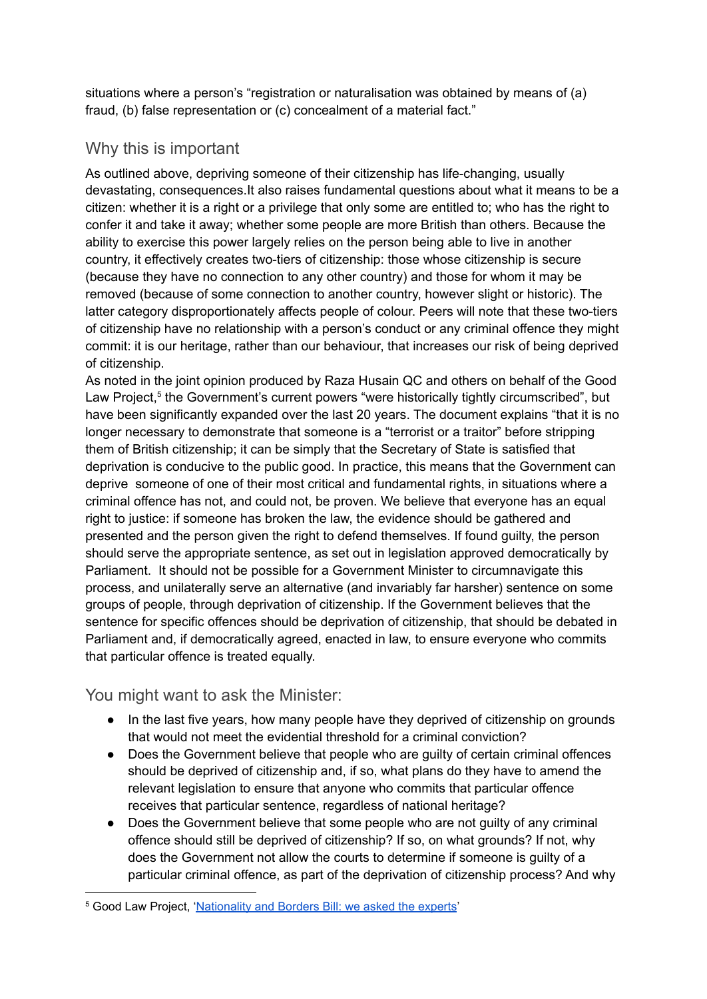situations where a person's "registration or naturalisation was obtained by means of (a) fraud, (b) false representation or (c) concealment of a material fact."

#### Why this is important

As outlined above, depriving someone of their citizenship has life-changing, usually devastating, consequences.It also raises fundamental questions about what it means to be a citizen: whether it is a right or a privilege that only some are entitled to; who has the right to confer it and take it away; whether some people are more British than others. Because the ability to exercise this power largely relies on the person being able to live in another country, it effectively creates two-tiers of citizenship: those whose citizenship is secure (because they have no connection to any other country) and those for whom it may be removed (because of some connection to another country, however slight or historic). The latter category disproportionately affects people of colour. Peers will note that these two-tiers of citizenship have no relationship with a person's conduct or any criminal offence they might commit: it is our heritage, rather than our behaviour, that increases our risk of being deprived of citizenship.

As noted in the joint opinion produced by Raza Husain QC and others on behalf of the Good Law Project,<sup>5</sup> the Government's current powers "were historically tightly circumscribed", but have been significantly expanded over the last 20 years. The document explains "that it is no longer necessary to demonstrate that someone is a "terrorist or a traitor" before stripping them of British citizenship; it can be simply that the Secretary of State is satisfied that deprivation is conducive to the public good. In practice, this means that the Government can deprive someone of one of their most critical and fundamental rights, in situations where a criminal offence has not, and could not, be proven. We believe that everyone has an equal right to justice: if someone has broken the law, the evidence should be gathered and presented and the person given the right to defend themselves. If found guilty, the person should serve the appropriate sentence, as set out in legislation approved democratically by Parliament. It should not be possible for a Government Minister to circumnavigate this process, and unilaterally serve an alternative (and invariably far harsher) sentence on some groups of people, through deprivation of citizenship. If the Government believes that the sentence for specific offences should be deprivation of citizenship, that should be debated in Parliament and, if democratically agreed, enacted in law, to ensure everyone who commits that particular offence is treated equally.

#### You might want to ask the Minister:

- In the last five years, how many people have they deprived of citizenship on grounds that would not meet the evidential threshold for a criminal conviction?
- Does the Government believe that people who are quilty of certain criminal offences should be deprived of citizenship and, if so, what plans do they have to amend the relevant legislation to ensure that anyone who commits that particular offence receives that particular sentence, regardless of national heritage?
- Does the Government believe that some people who are not guilty of any criminal offence should still be deprived of citizenship? If so, on what grounds? If not, why does the Government not allow the courts to determine if someone is guilty of a particular criminal offence, as part of the deprivation of citizenship process? And why

<sup>5</sup> Good Law Project, ['Nationality](https://goodlawproject.org/news/nationality-borders-bill-clause-9/) and Borders Bill: we asked the experts'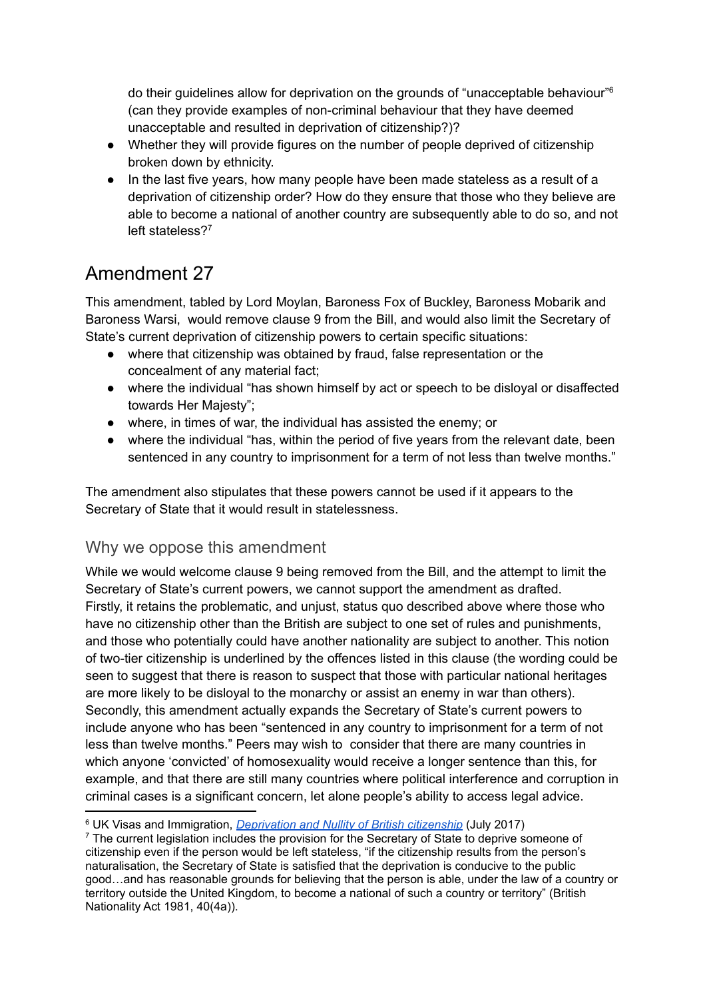do their guidelines allow for deprivation on the grounds of "unacceptable behaviour" 6 (can they provide examples of non-criminal behaviour that they have deemed unacceptable and resulted in deprivation of citizenship?)?

- Whether they will provide figures on the number of people deprived of citizenship broken down by ethnicity.
- In the last five years, how many people have been made stateless as a result of a deprivation of citizenship order? How do they ensure that those who they believe are able to become a national of another country are subsequently able to do so, and not left stateless?<sup>7</sup>

### Amendment 27

This amendment, tabled by Lord Moylan, Baroness Fox of Buckley, Baroness Mobarik and Baroness Warsi, would remove clause 9 from the Bill, and would also limit the Secretary of State's current deprivation of citizenship powers to certain specific situations:

- where that citizenship was obtained by fraud, false representation or the concealment of any material fact;
- where the individual "has shown himself by act or speech to be disloyal or disaffected towards Her Majesty";
- where, in times of war, the individual has assisted the enemy; or
- where the individual "has, within the period of five years from the relevant date, been sentenced in any country to imprisonment for a term of not less than twelve months."

The amendment also stipulates that these powers cannot be used if it appears to the Secretary of State that it would result in statelessness.

#### Why we oppose this amendment

While we would welcome clause 9 being removed from the Bill, and the attempt to limit the Secretary of State's current powers, we cannot support the amendment as drafted. Firstly, it retains the problematic, and unjust, status quo described above where those who have no citizenship other than the British are subject to one set of rules and punishments, and those who potentially could have another nationality are subject to another. This notion of two-tier citizenship is underlined by the offences listed in this clause (the wording could be seen to suggest that there is reason to suspect that those with particular national heritages are more likely to be disloyal to the monarchy or assist an enemy in war than others). Secondly, this amendment actually expands the Secretary of State's current powers to include anyone who has been "sentenced in any country to imprisonment for a term of not less than twelve months." Peers may wish to consider that there are many countries in which anyone 'convicted' of homosexuality would receive a longer sentence than this, for example, and that there are still many countries where political interference and corruption in criminal cases is a significant concern, let alone people's ability to access legal advice.

<sup>6</sup> UK Visas and Immigration, *[Deprivation](https://assets.publishing.service.gov.uk/government/uploads/system/uploads/attachment_data/file/631643/deprivation-nullity-Chapter-55.pdf) and Nullity of British citizenship* (July 2017)

 $<sup>7</sup>$  The current legislation includes the provision for the Secretary of State to deprive someone of</sup> citizenship even if the person would be left stateless, "if the citizenship results from the person's naturalisation, the Secretary of State is satisfied that the deprivation is conducive to the public good…and has reasonable grounds for believing that the person is able, under the law of a country or territory outside the United Kingdom, to become a national of such a country or territory" (British Nationality Act 1981, 40(4a)).